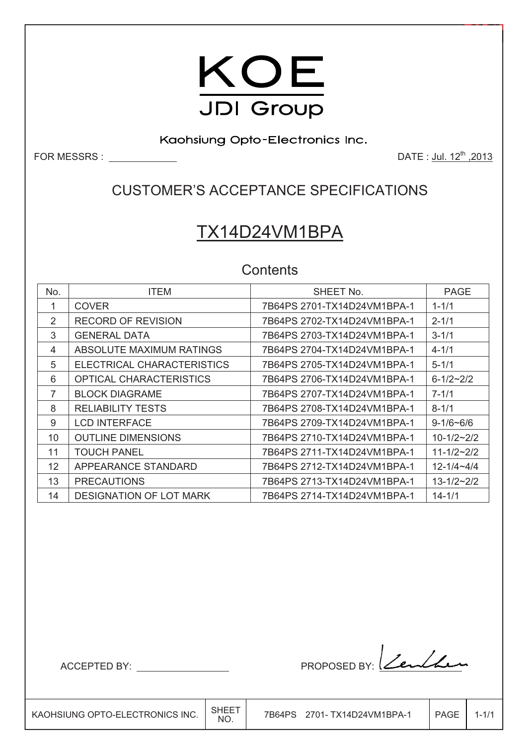

Kaohsiung Opto-Electronics Inc.

FOR MESSRS : DATE : Jul. 12th ,2013

### CUSTOMER'S ACCEPTANCE SPECIFICATIONS

# TX14D24VM1BPA

**Contents** 

| No. | <b>ITEM</b>                    | SHEET No.                   | <b>PAGE</b>      |
|-----|--------------------------------|-----------------------------|------------------|
| 1   | <b>COVER</b>                   | 7B64PS 2701-TX14D24VM1BPA-1 | $1 - 1/1$        |
| 2   | <b>RECORD OF REVISION</b>      | 7B64PS 2702-TX14D24VM1BPA-1 | $2 - 1/1$        |
| 3   | <b>GENERAL DATA</b>            | 7B64PS 2703-TX14D24VM1BPA-1 | $3 - 1/1$        |
| 4   | ABSOLUTE MAXIMUM RATINGS       |                             | $4 - 1/1$        |
| 5   | ELECTRICAL CHARACTERISTICS     | 7B64PS 2705-TX14D24VM1BPA-1 | $5 - 1/1$        |
| 6   | <b>OPTICAL CHARACTERISTICS</b> | 7B64PS 2706-TX14D24VM1BPA-1 | $6 - 1/2 - 2/2$  |
| 7   | <b>BLOCK DIAGRAME</b>          | 7B64PS 2707-TX14D24VM1BPA-1 | $7 - 1/1$        |
| 8   | <b>RELIABILITY TESTS</b>       | 7B64PS 2708-TX14D24VM1BPA-1 | $8 - 1/1$        |
| 9   | <b>LCD INTERFACE</b>           | 7B64PS 2709-TX14D24VM1BPA-1 | $9-1/6 - 6/6$    |
| 10  | <b>OUTLINE DIMENSIONS</b>      | 7B64PS 2710-TX14D24VM1BPA-1 | $10 - 1/2 - 2/2$ |
| 11  | <b>TOUCH PANEL</b>             | 7B64PS 2711-TX14D24VM1BPA-1 | $11 - 1/2 - 2/2$ |
| 12  | APPEARANCE STANDARD            | 7B64PS 2712-TX14D24VM1BPA-1 | $12 - 1/4 - 4/4$ |
| 13  | <b>PRECAUTIONS</b>             | 7B64PS 2713-TX14D24VM1BPA-1 | $13 - 1/2 - 2/2$ |
| 14  | <b>DESIGNATION OF LOT MARK</b> | 7B64PS 2714-TX14D24VM1BPA-1 | $14 - 1/1$       |

**In the contract of the contract of the contract of the contract of the contract of the contract of the contract**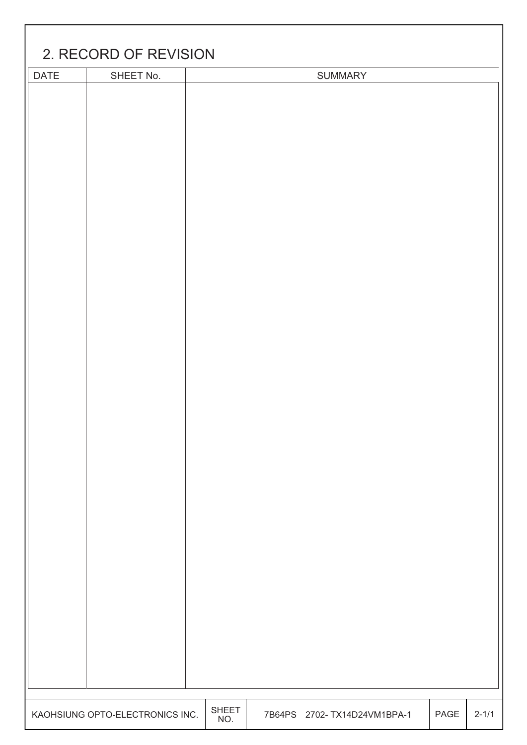|      | 2. RECORD OF REVISION           |                     |                              |      |           |
|------|---------------------------------|---------------------|------------------------------|------|-----------|
|      |                                 |                     |                              |      |           |
| DATE | SHEET No.                       |                     | <b>SUMMARY</b>               |      |           |
|      |                                 |                     |                              |      |           |
|      | KAOHSIUNG OPTO-ELECTRONICS INC. | <b>SHEET</b><br>NO. | 7B64PS 2702- TX14D24VM1BPA-1 | PAGE | $2 - 1/1$ |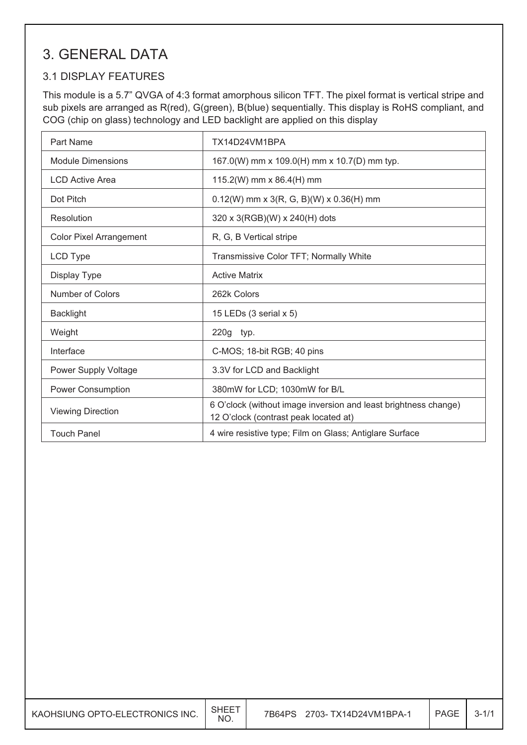### 3. GENERAL DATA

#### 3.1 DISPLAY FEATURES

This module is a 5.7" QVGA of 4:3 format amorphous silicon TFT. The pixel format is vertical stripe and sub pixels are arranged as R(red), G(green), B(blue) sequentially. This display is RoHS compliant, and COG (chip on glass) technology and LED backlight are applied on this display

| Part Name                      | TX14D24VM1BPA                                                                                            |
|--------------------------------|----------------------------------------------------------------------------------------------------------|
| <b>Module Dimensions</b>       | 167.0(W) mm x 109.0(H) mm x 10.7(D) mm typ.                                                              |
| <b>LCD Active Area</b>         | 115.2(W) mm x 86.4(H) mm                                                                                 |
| Dot Pitch                      | $0.12(W)$ mm x 3(R, G, B)(W) x 0.36(H) mm                                                                |
| Resolution                     | 320 x 3(RGB)(W) x 240(H) dots                                                                            |
| <b>Color Pixel Arrangement</b> | R, G, B Vertical stripe                                                                                  |
| LCD Type                       | Transmissive Color TFT; Normally White                                                                   |
| Display Type                   | <b>Active Matrix</b>                                                                                     |
| Number of Colors               | 262k Colors                                                                                              |
| <b>Backlight</b>               | 15 LEDs $(3 \text{ serial } x 5)$                                                                        |
| Weight                         | 220g typ.                                                                                                |
| Interface                      | C-MOS; 18-bit RGB; 40 pins                                                                               |
| Power Supply Voltage           | 3.3V for LCD and Backlight                                                                               |
| <b>Power Consumption</b>       | 380mW for LCD; 1030mW for B/L                                                                            |
| <b>Viewing Direction</b>       | 6 O'clock (without image inversion and least brightness change)<br>12 O'clock (contrast peak located at) |
| <b>Touch Panel</b>             | 4 wire resistive type; Film on Glass; Antiglare Surface                                                  |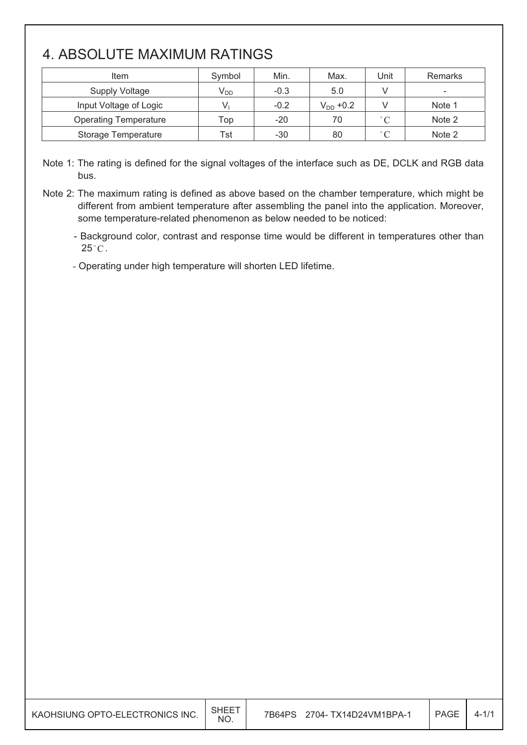### 4. ABSOLUTE MAXIMUM RATINGS

 $\overline{\phantom{a}}$ 

| Item                         | Symbol                     | Min.   | Max.          | Unit              | <b>Remarks</b> |
|------------------------------|----------------------------|--------|---------------|-------------------|----------------|
| <b>Supply Voltage</b>        | $\mathsf{V}_{\mathsf{DD}}$ | $-0.3$ | 5.0           |                   | -              |
| Input Voltage of Logic       |                            | $-0.2$ | $V_{DD}$ +0.2 |                   | Note 1         |
| <b>Operating Temperature</b> | Top                        | $-20$  | 70            | $\degree$ C       | Note 2         |
| Storage Temperature          | Tst                        | $-30$  | 80            | $^{\circ}$ $\cap$ | Note 2         |

Note 1: The rating is defined for the signal voltages of the interface such as DE, DCLK and RGB data bus.

Note 2: The maximum rating is defined as above based on the chamber temperature, which might be different from ambient temperature after assembling the panel into the application. Moreover, some temperature-related phenomenon as below needed to be noticed:

- Background color, contrast and response time would be different in temperatures other than  $25^{\circ}$ C.

- Operating under high temperature will shorten LED lifetime.

| KAOHSIUNG OPTO-ELECTRONICS INC. | SHEE <sup>T</sup><br><b>NO</b> | 2704- TX14D24VM1BPA-1<br>7B64PS | PAGE |  |
|---------------------------------|--------------------------------|---------------------------------|------|--|
|---------------------------------|--------------------------------|---------------------------------|------|--|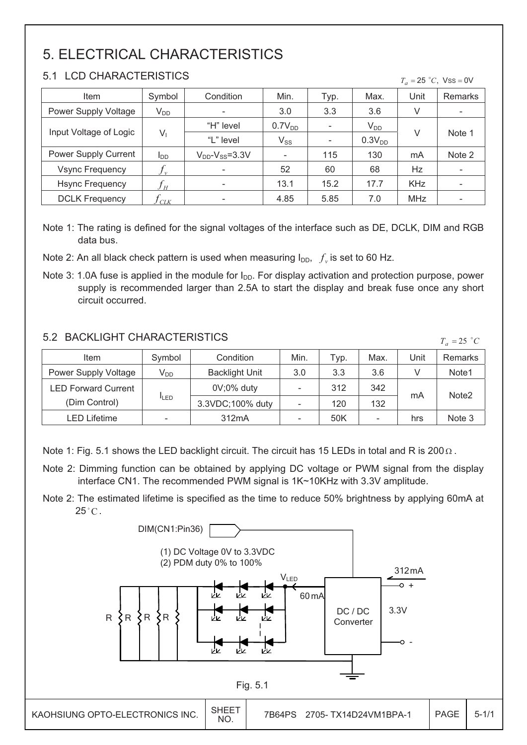## 5. ELECTRICAL CHARACTERISTICS

#### 5.1 LCD CHARACTERISTICS

#### $T_a = 25$  °C, Vss = 0V

| Item                   | Symbol          | Condition                 | Min.               | Typ.                     | Max.               | Unit       | <b>Remarks</b>           |
|------------------------|-----------------|---------------------------|--------------------|--------------------------|--------------------|------------|--------------------------|
| Power Supply Voltage   | $V_{DD}$        |                           | 3.0                | 3.3                      | 3.6                | V          | -                        |
| Input Voltage of Logic |                 | "H" level                 | 0.7V <sub>DD</sub> | $\overline{\phantom{a}}$ | $V_{DD}$           |            |                          |
|                        | V               | "L" level                 | $V_{SS}$           | $\overline{\phantom{a}}$ | 0.3V <sub>DD</sub> | V          | Note 1                   |
| Power Supply Current   | l <sub>DD</sub> | $V_{DD}$ - $V_{SS}$ =3.3V |                    | 115                      | 130                | mA         | Note 2                   |
| <b>Vsync Frequency</b> | $\mathbf{v}$    | $\overline{\phantom{a}}$  | 52                 | 60                       | 68                 | Hz         | $\overline{\phantom{0}}$ |
| <b>Hsync Frequency</b> | H               | $\overline{\phantom{a}}$  | 13.1               | 15.2                     | 17.7               | <b>KHz</b> | ۰                        |
| <b>DCLK Frequency</b>  | $\prime$ CLK    |                           | 4.85               | 5.85                     | 7.0                | <b>MHz</b> | $\overline{\phantom{0}}$ |

Note 1: The rating is defined for the signal voltages of the interface such as DE, DCLK, DIM and RGB data bus.

Note 2: An all black check pattern is used when measuring  $I_{DD}$ ,  $f_y$  is set to 60 Hz.

Note 3: 1.0A fuse is applied in the module for  $I_{DD}$ . For display activation and protection purpose, power supply is recommended larger than 2.5A to start the display and break fuse once any short circuit occurred.

#### 5.2 BACKLIGHT CHARACTERISTICS

| 5.2 BACKLIGHT CHARACTERISTICS<br>$T_a = 25$ °C |             |                       |                          |      |                |      |                   |
|------------------------------------------------|-------------|-----------------------|--------------------------|------|----------------|------|-------------------|
| Item                                           | Symbol      | Condition             | Min.                     | Typ. | Max.           | Unit | Remarks           |
| Power Supply Voltage                           | $V_{DD}$    | <b>Backlight Unit</b> | 3.0                      | 3.3  | 3.6            | V    | Note1             |
| <b>LED Forward Current</b>                     |             | $0V;0\%$ duty         | $\overline{\phantom{a}}$ | 312  | 342            |      |                   |
| (Dim Control)                                  | <b>ILED</b> | 3.3VDC;100% duty      |                          | 120  | 132            | mA   | Note <sub>2</sub> |
| LED Lifetime                                   | -           | 312mA                 | $\overline{\phantom{0}}$ | 50K  | $\overline{a}$ | hrs  | Note 3            |

Note 1: Fig. 5.1 shows the LED backlight circuit. The circuit has 15 LEDs in total and R is 200  $\Omega$ .

- Note 2: Dimming function can be obtained by applying DC voltage or PWM signal from the display interface CN1. The recommended PWM signal is 1K~10KHz with 3.3V amplitude.
- Note 2: The estimated lifetime is specified as the time to reduce 50% brightness by applying 60mA at  $25^{\circ}$ C.

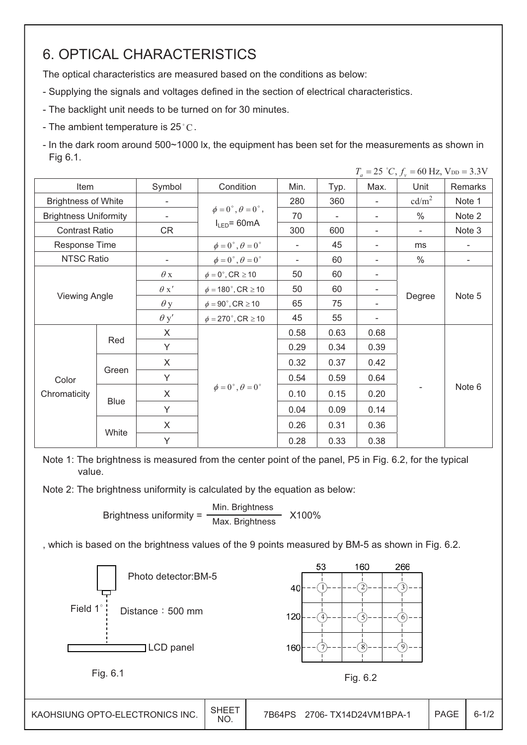### 6. OPTICAL CHARACTERISTICS

The optical characteristics are measured based on the conditions as below:

- Supplying the signals and voltages defined in the section of electrical characteristics.
- The backlight unit needs to be turned on for 30 minutes.
- The ambient temperature is  $25^{\circ}$ C.

- In the dark room around 500~1000 lx, the equipment has been set for the measurements as shown in Fig 6.1.

|                              |             |             |                                         |                          |      |      | $T_a = 25$ °C, $f_v = 60$ Hz, $V_{DD} = 3.3$ V |                          |  |
|------------------------------|-------------|-------------|-----------------------------------------|--------------------------|------|------|------------------------------------------------|--------------------------|--|
| Item                         |             | Symbol      | Condition                               | Min.                     | Typ. | Max. | Unit                                           | Remarks                  |  |
| <b>Brightness of White</b>   |             |             |                                         | 280                      | 360  |      | cd/m <sup>2</sup>                              | Note 1                   |  |
| <b>Brightness Uniformity</b> |             |             | $\phi = 0^{\circ}, \theta = 0^{\circ},$ | 70                       |      |      | $\frac{0}{0}$                                  | Note 2                   |  |
| <b>Contrast Ratio</b>        |             | CR          | $I_{LED} = 60mA$                        | 300                      | 600  |      | $\overline{\phantom{a}}$                       | Note 3                   |  |
| Response Time                |             |             | $\phi = 0^\circ$ , $\theta = 0^\circ$   | $\overline{\phantom{a}}$ | 45   |      | ms                                             |                          |  |
| <b>NTSC Ratio</b>            |             |             | $\phi = 0^\circ$ , $\theta = 0^\circ$   | $\overline{\phantom{a}}$ | 60   |      | $\%$                                           | $\overline{\phantom{a}}$ |  |
|                              |             | $\theta$ x  | $\phi = 0^\circ$ , CR $\geq 10$         | 50                       | 60   |      |                                                |                          |  |
|                              |             | $\theta x'$ | $\phi = 180^{\circ}$ , CR $\geq 10$     | 50                       | 60   |      |                                                |                          |  |
| <b>Viewing Angle</b>         |             | $\theta$ y  | $\phi = 90^\circ$ , CR $\geq 10$        | 65                       | 75   |      | Degree                                         | Note 5                   |  |
|                              |             | $\theta$ y' | $\phi = 270^\circ$ , CR $\geq 10$       | 45                       | 55   |      |                                                |                          |  |
|                              |             | $\sf X$     |                                         | 0.58                     | 0.63 | 0.68 |                                                |                          |  |
|                              | Red         | Y           |                                         | 0.29                     | 0.34 | 0.39 |                                                |                          |  |
|                              |             | X           |                                         | 0.32                     | 0.37 | 0.42 |                                                |                          |  |
| Color                        | Green       | Y           |                                         | 0.54                     | 0.59 | 0.64 |                                                |                          |  |
| Chromaticity                 |             | X           | $\phi = 0^\circ$ , $\theta = 0^\circ$   | 0.10                     | 0.15 | 0.20 |                                                | Note 6                   |  |
|                              | <b>Blue</b> | Y           |                                         | 0.04                     | 0.09 | 0.14 |                                                |                          |  |
|                              |             | X           |                                         | 0.26                     | 0.31 | 0.36 |                                                |                          |  |
|                              | White       | Y           |                                         | 0.28                     | 0.33 | 0.38 |                                                |                          |  |

Note 1: The brightness is measured from the center point of the panel, P5 in Fig. 6.2, for the typical value.

Note 2: The brightness uniformity is calculated by the equation as below:

Brightness uniformity =  $\frac{\text{Min.}_{\text{Br}}}{\text{Max.}_{\text{B}}\times \text{Max.}}$  X100% Max. Brightness

, which is based on the brightness values of the 9 points measured by BM-5 as shown in Fig. 6.2.

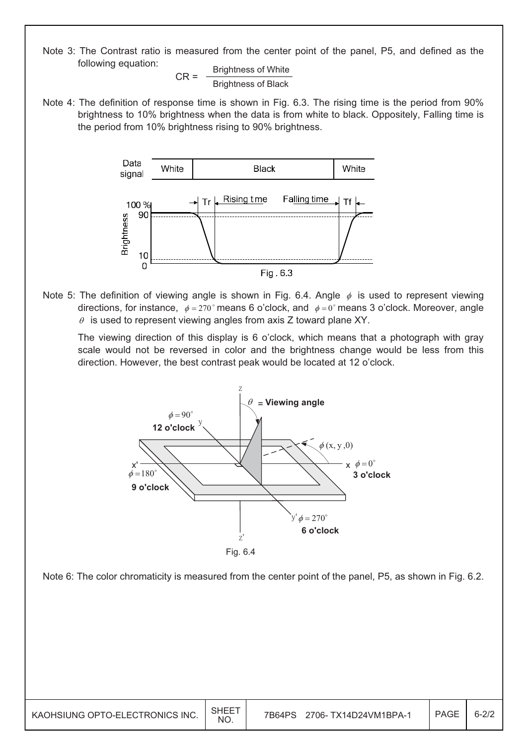Note 3: The Contrast ratio is measured from the center point of the panel, P5, and defined as the following equation:

$$
CR = \frac{Brightness of White}{Brightness of Black}
$$

Note 4: The definition of response time is shown in Fig. 6.3. The rising time is the period from 90% brightness to 10% brightness when the data is from white to black. Oppositely, Falling time is the period from 10% brightness rising to 90% brightness.



Note 5: The definition of viewing angle is shown in Fig. 6.4. Angle  $\phi$  is used to represent viewing directions, for instance,  $\phi = 270^\circ$  means 6 o'clock, and  $\phi = 0^\circ$  means 3 o'clock. Moreover, angle  $\theta$  is used to represent viewing angles from axis Z toward plane XY.

 The viewing direction of this display is 6 o'clock, which means that a photograph with gray scale would not be reversed in color and the brightness change would be less from this direction. However, the best contrast peak would be located at 12 o'clock.



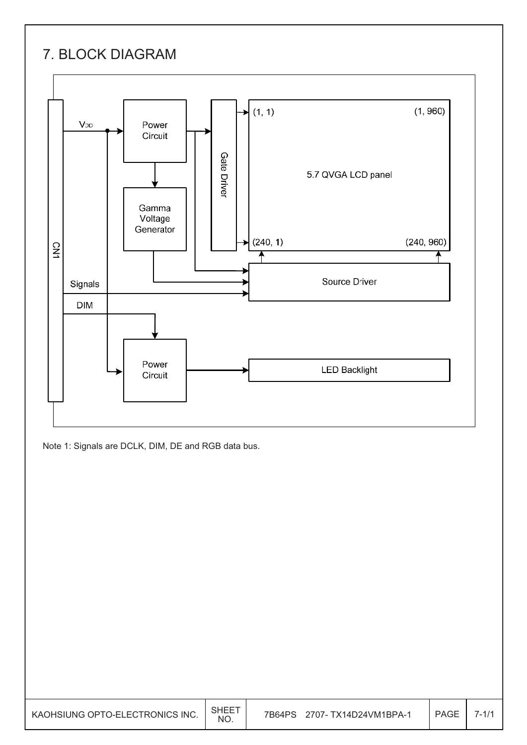### 7. BLOCK DIAGRAM



Note 1: Signals are DCLK, DIM, DE and RGB data bus.

| KAOHSIUNG OPTO-ELECTRONICS INC. | <b>SHEET</b><br><b>NO</b> | 2707- TX14D24VM1BPA-1<br>7B64PS | PAGE | $7 - 1/1$ |
|---------------------------------|---------------------------|---------------------------------|------|-----------|
|---------------------------------|---------------------------|---------------------------------|------|-----------|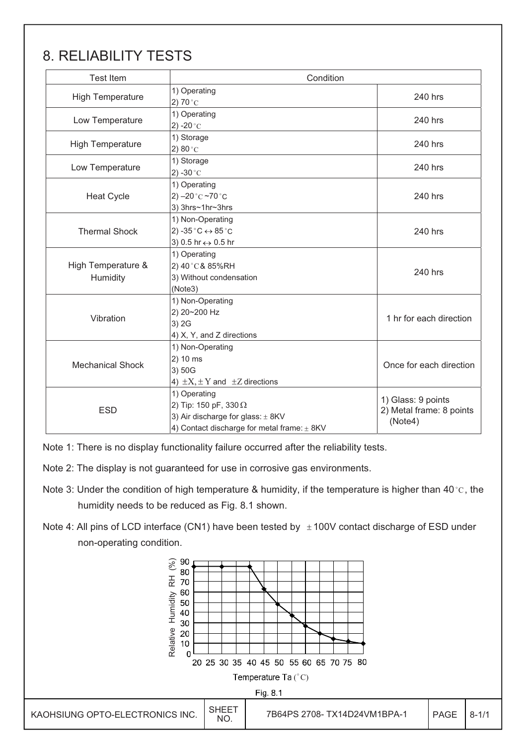### 8. RELIABILITY TESTS

| <b>Test Item</b>               | Condition                                                                                                                            |                                                           |
|--------------------------------|--------------------------------------------------------------------------------------------------------------------------------------|-----------------------------------------------------------|
| <b>High Temperature</b>        | 1) Operating<br>2) 70 $^{\circ}$ C                                                                                                   | 240 hrs                                                   |
| Low Temperature                | 1) Operating<br>2) -20 $^{\circ}$ C                                                                                                  | 240 hrs                                                   |
| <b>High Temperature</b>        | 1) Storage<br>2) $80^{\circ}$ C                                                                                                      | 240 hrs                                                   |
| Low Temperature                | 1) Storage<br>2) -30 $^{\circ}$ C                                                                                                    | 240 hrs                                                   |
| <b>Heat Cycle</b>              | 1) Operating<br>2) $-20$ °C $-70$ °C<br>3) 3hrs~1hr~3hrs                                                                             | 240 hrs                                                   |
| <b>Thermal Shock</b>           | 1) Non-Operating<br>2) -35 $^{\circ}$ C $\leftrightarrow$ 85 $^{\circ}$ C<br>3) 0.5 hr ↔ 0.5 hr                                      | 240 hrs                                                   |
| High Temperature &<br>Humidity | 1) Operating<br>2) 40°C& 85%RH<br>3) Without condensation<br>(Note3)                                                                 | 240 hrs                                                   |
| Vibration                      | 1) Non-Operating<br>2) 20~200 Hz<br>3) 2G<br>4) X, Y, and Z directions                                                               | 1 hr for each direction                                   |
| <b>Mechanical Shock</b>        | 1) Non-Operating<br>2) 10 ms<br>3) 50G<br>4) $\pm X$ , $\pm Y$ and $\pm Z$ directions                                                | Once for each direction                                   |
| <b>ESD</b>                     | 1) Operating<br>2) Tip: 150 pF, 330 $\Omega$<br>3) Air discharge for glass: ± 8KV<br>4) Contact discharge for metal frame: $\pm$ 8KV | 1) Glass: 9 points<br>2) Metal frame: 8 points<br>(Note4) |

Note 1: There is no display functionality failure occurred after the reliability tests.

Note 2: The display is not guaranteed for use in corrosive gas environments.

- Note 3: Under the condition of high temperature & humidity, if the temperature is higher than 40 °C, the humidity needs to be reduced as Fig. 8.1 shown.
- Note 4: All pins of LCD interface (CN1) have been tested by  $\pm$  100V contact discharge of ESD under non-operating condition.

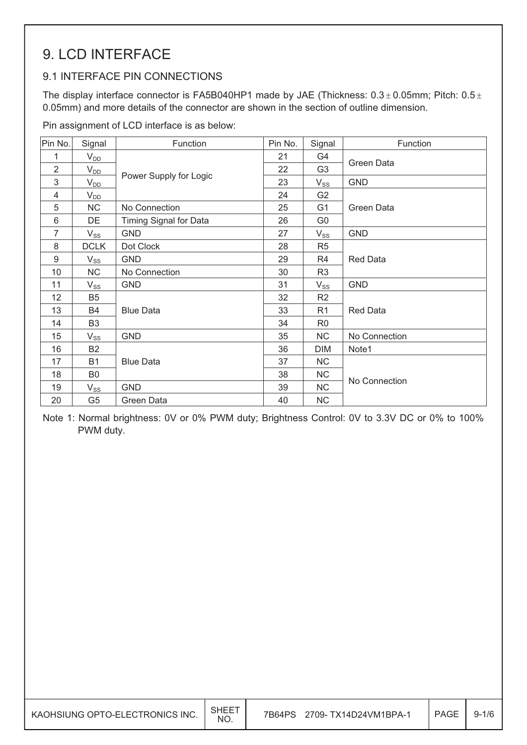### 9. LCD INTERFACE

### 9.1 INTERFACE PIN CONNECTIONS

The display interface connector is FA5B040HP1 made by JAE (Thickness:  $0.3 \pm 0.05$ mm; Pitch:  $0.5 \pm$ 0.05mm) and more details of the connector are shown in the section of outline dimension.

Pin assignment of LCD interface is as below:

| Pin No.        | Signal         | Function               | Pin No. | Signal         | Function        |
|----------------|----------------|------------------------|---------|----------------|-----------------|
| 1              | $V_{DD}$       |                        | 21      | G4             |                 |
| $\overline{2}$ | $V_{DD}$       |                        | 22      | G <sub>3</sub> | Green Data      |
| 3              | $V_{DD}$       | Power Supply for Logic | 23      | $V_{SS}$       | <b>GND</b>      |
| 4              | $V_{DD}$       |                        | 24      | G <sub>2</sub> |                 |
| 5              | NC             | No Connection          | 25      | G <sub>1</sub> | Green Data      |
| 6              | DE             | Timing Signal for Data | 26      | G <sub>0</sub> |                 |
| $\overline{7}$ | $V_{SS}$       | <b>GND</b>             | 27      | $V_{SS}$       | <b>GND</b>      |
| 8              | <b>DCLK</b>    | Dot Clock              | 28      | R <sub>5</sub> |                 |
| 9              | $V_{SS}$       | <b>GND</b>             | 29      | R4             | <b>Red Data</b> |
| 10             | NC             | No Connection          | 30      | R <sub>3</sub> |                 |
| 11             | $V_{SS}$       | <b>GND</b>             | 31      | $V_{SS}$       | <b>GND</b>      |
| 12             | B <sub>5</sub> |                        | 32      | R <sub>2</sub> |                 |
| 13             | B4             | <b>Blue Data</b>       | 33      | R <sub>1</sub> | <b>Red Data</b> |
| 14             | B <sub>3</sub> |                        | 34      | R <sub>0</sub> |                 |
| 15             | $V_{SS}$       | <b>GND</b>             | 35      | NC.            | No Connection   |
| 16             | <b>B2</b>      |                        | 36      | <b>DIM</b>     | Note1           |
| 17             | <b>B1</b>      | <b>Blue Data</b>       | 37      | NC             |                 |
| 18             | B <sub>0</sub> |                        | 38      | <b>NC</b>      | No Connection   |
| 19             | $V_{SS}$       | <b>GND</b>             | 39      | <b>NC</b>      |                 |
| 20             | G <sub>5</sub> | Green Data             | 40      | <b>NC</b>      |                 |

Note 1: Normal brightness: 0V or 0% PWM duty; Brightness Control: 0V to 3.3V DC or 0% to 100% PWM duty.

| KAOHSIUNG OPTO-ELECTRONICS INC. | SHEE <sup>.</sup><br><b>NO</b> | 2709- TX14D24VM1BPA-1<br>7B64PS | PAGE | $9 - 1/6$ |
|---------------------------------|--------------------------------|---------------------------------|------|-----------|
|---------------------------------|--------------------------------|---------------------------------|------|-----------|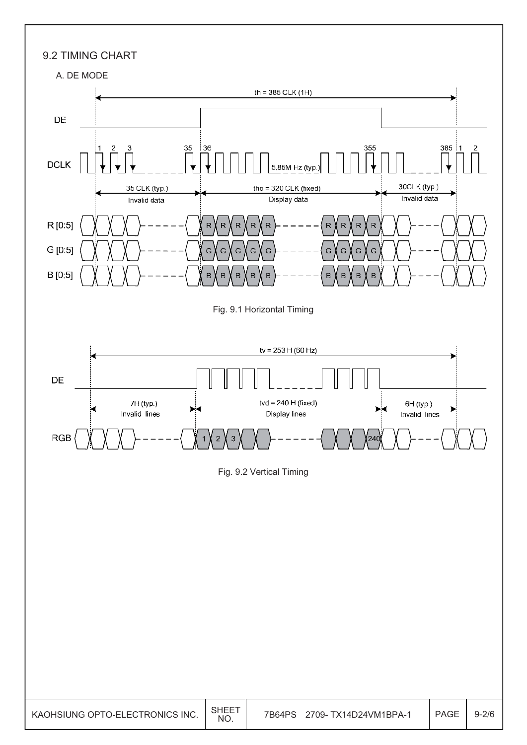

KAOHSIUNG OPTO-ELECTRONICS INC. SHEET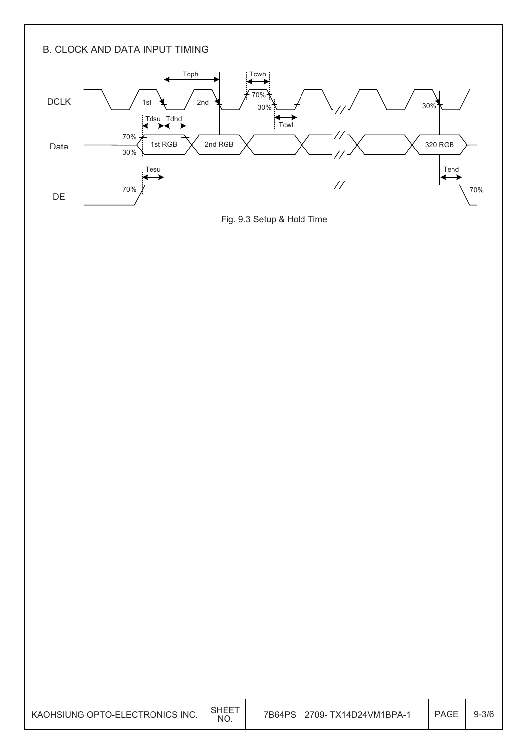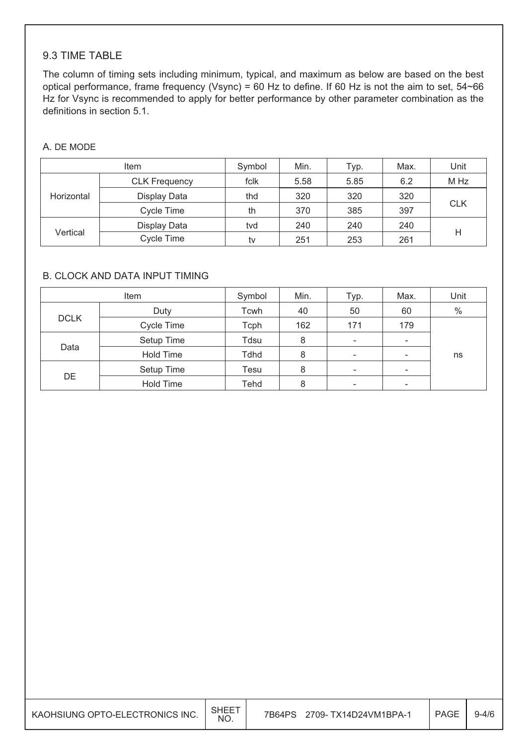#### 9.3 TIME TABLE

The column of timing sets including minimum, typical, and maximum as below are based on the best optical performance, frame frequency (Vsync) = 60 Hz to define. If 60 Hz is not the aim to set, 54~66 Hz for Vsync is recommended to apply for better performance by other parameter combination as the definitions in section 5.1.

#### A. DE MODE

|            | Item                 | Symbol | Min. | Typ. | Max. | Unit       |
|------------|----------------------|--------|------|------|------|------------|
|            | <b>CLK Frequency</b> | fclk   | 5.58 | 5.85 | 6.2  | M Hz       |
| Horizontal | Display Data         | thd    | 320  | 320  | 320  |            |
|            | Cycle Time           | th     | 370  | 385  | 397  | <b>CLK</b> |
|            | Display Data         | tvd    | 240  | 240  | 240  |            |
| Vertical   | Cycle Time           | tv     | 251  | 253  | 261  | Н          |

#### B. CLOCK AND DATA INPUT TIMING

|             | Item             | Symbol | Min. | Typ.                     | Max.                     | Unit |
|-------------|------------------|--------|------|--------------------------|--------------------------|------|
|             | Duty             | Tcwh   | 40   | 50                       | 60                       | $\%$ |
| <b>DCLK</b> | Cycle Time       | Tcph   | 162  | 171                      | 179                      |      |
|             | Setup Time       | Tdsu   | 8    | $\overline{\phantom{a}}$ | $\overline{\phantom{0}}$ |      |
| Data        | <b>Hold Time</b> | Tdhd   | 8    | $\overline{\phantom{a}}$ |                          | ns   |
|             | Setup Time       | Tesu   | 8    | $\overline{\phantom{a}}$ | $\overline{\phantom{0}}$ |      |
| DE          | <b>Hold Time</b> | Tehd   | 8    | $\overline{\phantom{a}}$ | $\overline{\phantom{0}}$ |      |

| KAOHSIUNG OPTO-ELECTRONICS INC. | SHEE <sup>-</sup><br><b>NO</b> | 7B64PS<br>2709- TX14D24VM1BPA-1 | <b>PAGE</b> | $9 - 4/6$ |
|---------------------------------|--------------------------------|---------------------------------|-------------|-----------|
|---------------------------------|--------------------------------|---------------------------------|-------------|-----------|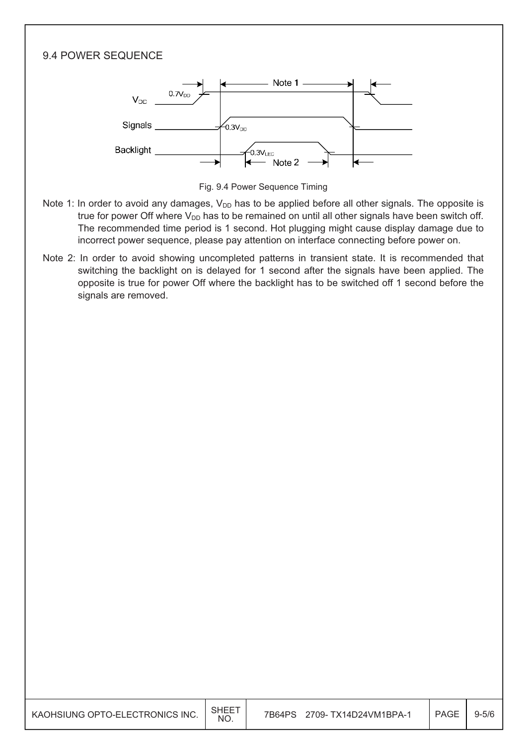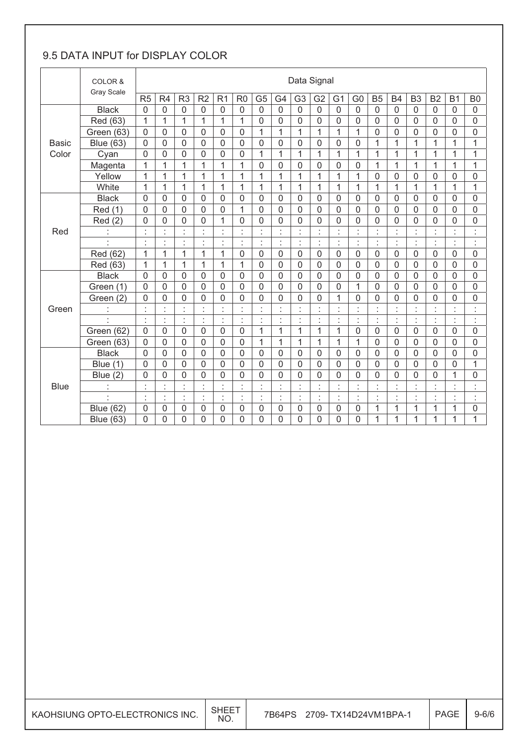#### 9.5 DATA INPUT for DISPLAY COLOR

|              | COLOR &<br><b>Gray Scale</b> |                            | Data Signal        |                |                |                |                |                |                 |                |                  |                |                |                |                |                |                    |                |                 |
|--------------|------------------------------|----------------------------|--------------------|----------------|----------------|----------------|----------------|----------------|-----------------|----------------|------------------|----------------|----------------|----------------|----------------|----------------|--------------------|----------------|-----------------|
|              |                              | R <sub>5</sub>             | R <sub>4</sub>     | R <sub>3</sub> | R2             | R <sub>1</sub> | R <sub>0</sub> | G <sub>5</sub> | G4              | G <sub>3</sub> | G <sub>2</sub>   | G <sub>1</sub> | G <sub>0</sub> | <b>B5</b>      | <b>B4</b>      | B <sub>3</sub> | <b>B2</b>          | B <sub>1</sub> | B <sub>0</sub>  |
|              | <b>Black</b>                 | $\overline{0}$             | $\overline{0}$     | $\mathbf 0$    | $\overline{0}$ | $\overline{0}$ | $\mathbf 0$    | $\overline{0}$ | $\overline{0}$  | $\overline{0}$ | $\overline{0}$   | $\overline{0}$ | $\overline{0}$ | $\overline{0}$ | 0              | $\overline{0}$ | $\overline{0}$     | $\overline{0}$ | $\overline{0}$  |
|              | Red (63)                     | 1                          | 1                  | 1              | 1              | 1              | 1              | 0              | $\mathbf 0$     | 0              | 0                | 0              | 0              | $\mathbf 0$    | $\overline{0}$ | $\overline{0}$ | 0                  | 0              | 0               |
|              | Green (63)                   | $\overline{0}$             | $\overline{0}$     | $\overline{0}$ | 0              | $\overline{0}$ | $\mathbf 0$    | $\mathbf{1}$   | $\mathbf{1}$    | 1              | 1                | 1              | $\mathbf{1}$   | $\mathbf 0$    | $\overline{0}$ | $\overline{0}$ | $\overline{0}$     | $\Omega$       | 0               |
| <b>Basic</b> | <b>Blue (63)</b>             | $\overline{0}$             | 0                  | $\mathbf 0$    | 0              | $\overline{0}$ | $\overline{0}$ | $\overline{0}$ | $\mathbf 0$     | 0              | 0                | 0              | 0              | 1              | $\mathbf{1}$   | $\mathbf{1}$   | $\mathbf{1}$       | $\overline{1}$ | 1               |
| Color        | Cyan                         | $\Omega$                   | 0                  | $\mathbf 0$    | 0              | 0              | $\overline{0}$ | 1              | 1               | 1              | 1                | 1              | $\mathbf{1}$   | 1              | 1              | 1              | $\mathbf{1}$       | 1              | $\overline{1}$  |
|              | Magenta                      | 1                          | 1                  | 1              | 1              | 1              | 1              | $\mathsf 0$    | $\mathbf 0$     | 0              | $\mathsf 0$      | $\mathsf 0$    | 0              | 1              | 1              | 1              | 1                  | 1              | 1               |
|              | Yellow                       | 1                          | 1                  | $\mathbf{1}$   | 1              | $\mathbf{1}$   | 1              | $\mathbf{1}$   | $\mathbf{1}$    | $\mathbf{1}$   | $\overline{1}$   | 1              | $\mathbf{1}$   | $\mathbf 0$    | $\overline{0}$ | $\overline{0}$ | 0                  | 0              | 0               |
|              | White                        | 1                          | $\mathbf{1}$       | $\mathbf{1}$   | 1              | 1              | 1              | $\overline{1}$ | 1               | 1              | $\overline{1}$   | 1              | $\mathbf{1}$   | 1              | $\mathbf{1}$   | 1              | $\mathbf{1}$       | $\mathbf{1}$   | $\mathbf{1}$    |
|              | <b>Black</b>                 | $\overline{0}$             | 0                  | $\mathbf 0$    | 0              | 0              | $\overline{0}$ | $\mathbf 0$    | $\mathbf 0$     | 0              | $\mathbf 0$      | $\mathsf 0$    | 0              | $\overline{0}$ | $\overline{0}$ | $\mathbf 0$    | $\mathbf 0$        | 0              | $\mathbf 0$     |
|              | Red (1)                      | $\Omega$                   | 0                  | $\overline{0}$ | 0              | $\overline{0}$ | 1              | 0              | $\overline{0}$  | 0              | $\overline{0}$   | $\overline{0}$ | 0              | $\overline{0}$ | $\Omega$       | $\overline{0}$ | 0                  | 0              | $\overline{0}$  |
|              | Red(2)                       | $\mathbf{0}$               | 0                  | 0              | 0              | 1              | 0              | 0              | $\mathbf 0$     | 0              | 0                | 0              | 0              | $\mathbf 0$    | $\overline{0}$ | $\mathbf 0$    | 0                  | 0              | 0               |
| Red          | $\epsilon$<br>à,             | $\epsilon$<br>$\mathbf{r}$ | Ì.                 | à.             | ×,<br>×        | t              | $\mathbf{r}$   | t              | $\epsilon$<br>٠ | ×<br>ä,        | ×,<br>×,         | ×.<br>×.       | t              | ٠<br>ä,        | $\alpha$       | $\epsilon$     | ×.<br>$\mathbf{r}$ | à.<br>ä,       | t               |
|              | ×,                           | $\bullet$                  | $\epsilon$         | ×,             | $\epsilon$     | ċ              | ×,             | t              | ÷               | t              | ×,               | ×,             | ÷              | t              | $\epsilon$     | ÷              | $\blacksquare$     | ×,             | t               |
|              | Red (62)                     | $\overline{1}$             | $\overline{1}$     | $\overline{1}$ | 1              | $\overline{1}$ | $\overline{0}$ | $\mathbf 0$    | $\mathbf 0$     | 0              | $\mathbf 0$      | $\mathbf 0$    | 0              | $\overline{0}$ | $\overline{0}$ | $\overline{0}$ | $\mathbf 0$        | 0              | $\mathbf 0$     |
|              | Red (63)                     | 1                          | 1                  | 1              | 1              | 1              | 1              | $\overline{0}$ | $\overline{0}$  | 0              | 0                | 0              | 0              | $\mathbf 0$    | $\overline{0}$ | $\overline{0}$ | $\overline{0}$     | 0              | 0               |
|              | <b>Black</b>                 | $\overline{0}$             | 0                  | 0              | 0              | $\overline{0}$ | $\overline{0}$ | $\overline{0}$ | $\mathbf 0$     | 0              | $\boldsymbol{0}$ | $\mathbf 0$    | $\overline{0}$ | $\overline{0}$ | $\overline{0}$ | $\mathbf 0$    | $\mathbf 0$        | 0              | $\mathbf 0$     |
|              | Green (1)                    | $\Omega$                   | 0                  | $\overline{0}$ | $\Omega$       | $\overline{0}$ | $\overline{0}$ | 0              | $\overline{0}$  | $\Omega$       | $\overline{0}$   | $\overline{0}$ | $\mathbf 1$    | $\overline{0}$ | $\overline{0}$ | $\overline{0}$ | 0                  | $\Omega$       | $\mathbf 0$     |
|              | Green (2)                    | 0                          | 0                  | $\mathbf 0$    | 0              | 0              | 0              | 0              | $\mathbf 0$     | 0              | 0                | 1              | 0              | $\mathbf 0$    | $\overline{0}$ | $\mathbf 0$    | 0                  | 0              | $\mathbf 0$     |
| Green        | t                            | ×                          | ł.                 | $\blacksquare$ | Ì              | t              | ä,             | t              | t               | ł,             | ï                | t              | t              | t              |                | t              | t                  | $\blacksquare$ | t               |
|              | ×,                           | ÷                          | ł.                 | t              | ł              | ÷              | t              | ł,             | $\cdot$         | t              | t                | Ì              | ÷              | ÷              | t              | t              | ł.                 | ×,             | ÷               |
|              | Green (62)                   | $\mathbf 0$                | 0                  | 0              | 0              | $\mathbf 0$    | $\mathbf 0$    | 1              | 1               | 1              | 1                | 1              | 0              | 0              | $\overline{0}$ | 0              | 0                  | 0              | 0               |
|              | Green (63)                   | $\mathbf{0}$               | 0                  | 0              | 0              | 0              | $\mathbf 0$    | 1              | 1               | 1              | 1                | 1              | 1              | $\mathbf 0$    | 0              | $\mathbf 0$    | 0                  | 0              | 0               |
|              | <b>Black</b>                 | $\overline{0}$             | 0                  | $\overline{0}$ | 0              | $\overline{0}$ | $\overline{0}$ | 0              | $\overline{0}$  | $\Omega$       | 0                | $\overline{0}$ | 0              | $\overline{0}$ | $\overline{0}$ | $\overline{0}$ | $\overline{0}$     | $\Omega$       | $\mathbf 0$     |
|              | Blue (1)                     | $\Omega$                   | 0                  | 0              | 0              | $\mathbf 0$    | $\mathbf 0$    | $\mathbf 0$    | $\mathbf 0$     | 0              | $\mathbf 0$      | 0              | 0              | $\mathbf 0$    | $\overline{0}$ | $\mathbf 0$    | 0                  | 0              | 1               |
|              | Blue (2)                     | $\overline{0}$             | 0                  | $\mathbf 0$    | 0              | 0              | 0              | 0              | $\overline{0}$  | 0              | 0                | 0              | $\mathbf 0$    | $\overline{0}$ | $\overline{0}$ | $\mathbf 0$    | 0                  | $\mathbf{1}$   | 0               |
| <b>Blue</b>  |                              | $\epsilon$                 | ×.<br>$\mathbf{r}$ | ¥,<br>k.       | à.             | à.<br>×,       | $\epsilon$     | $\epsilon$     | à,<br>٠         | ×              | ¥,<br>ä,         | ¥.<br>×.       | $\cdot$<br>٠   | $\epsilon$     |                | $\cdot$        | ×.<br>$\mathbf{r}$ | ¥,             | $\epsilon$<br>× |
|              | ä,                           | ł.                         | ł,                 | ł,             | ł,             | ċ              | ÷              | ł,             | ł.              | ł,             | ł,               | ł.             | ÷.             | ÷              | ċ              | ł,             | ł,                 | à.             | ł               |
|              | <b>Blue (62)</b>             | $\mathbf 0$                | 0                  | $\mathbf 0$    | 0              | 0              | 0              | 0              | $\mathbf 0$     | 0              | 0                | 0              | 0              | 1              | $\mathbf{1}$   | 1              | 1                  | 1              | 0               |
|              | <b>Blue (63)</b>             | 0                          | 0                  | 0              | 0              | 0              | 0              | 0              | 0               | 0              | 0                | 0              | 0              | 1              | 1              | 1              | 1                  | 1              | 1               |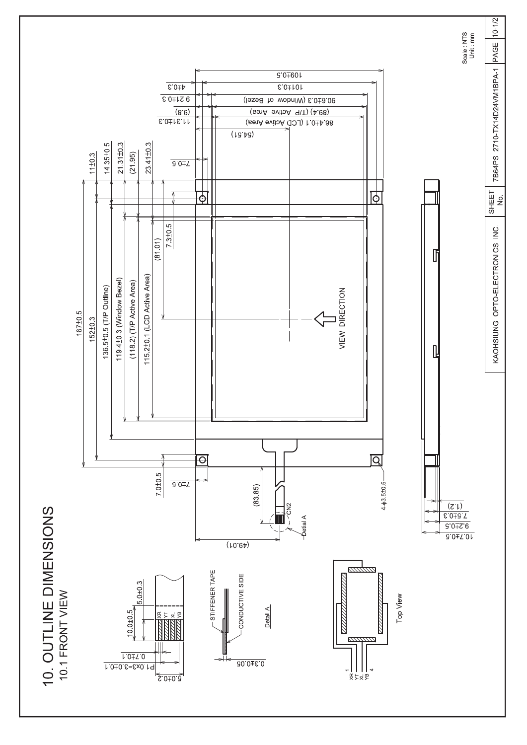

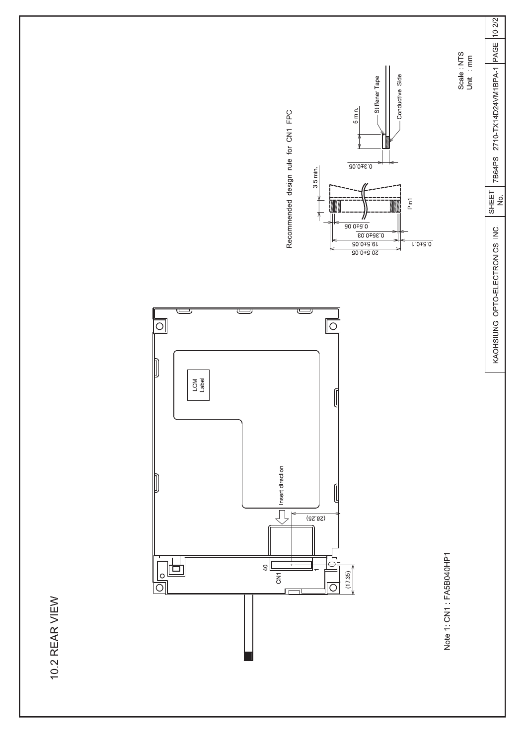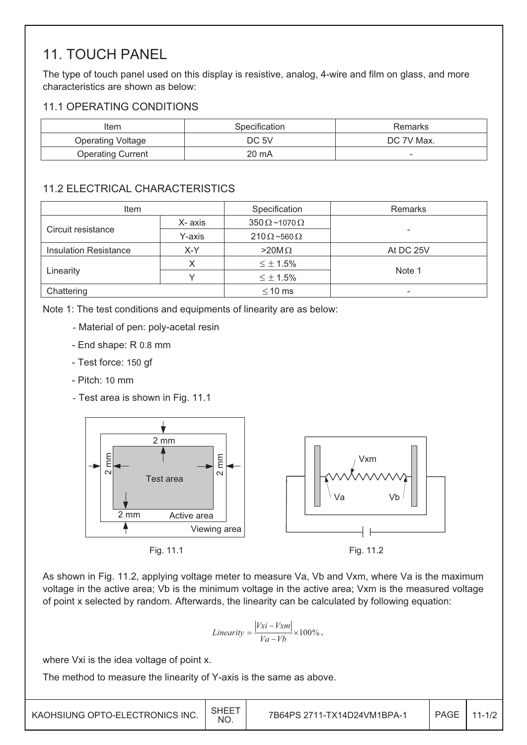### 11. TOUCH PANEL

The type of touch panel used on this display is resistive, analog, 4-wire and film on glass, and more characteristics are shown as below:

#### 11.1 OPERATING CONDITIONS

| Item                     | Specification | Remarks                  |
|--------------------------|---------------|--------------------------|
| <b>Operating Voltage</b> | DC 5V         | DC 7V Max.               |
| <b>Operating Current</b> | 20 mA         | $\overline{\phantom{a}}$ |

#### 11.2 ELECTRICAL CHARACTERISTICS

| Item                         |         | Specification               | <b>Remarks</b>           |
|------------------------------|---------|-----------------------------|--------------------------|
|                              | X- axis | $350 \Omega$ ~1070 $\Omega$ |                          |
| Circuit resistance           | Y-axis  | $210 \Omega - 560 \Omega$   | $\overline{\phantom{0}}$ |
| <b>Insulation Resistance</b> | X-Y     | $>20M\Omega$                | At DC 25V                |
|                              |         | $\leq \pm 1.5\%$            |                          |
| Linearity                    |         | $\leq \pm 1.5\%$            | Note 1                   |
| Chattering                   |         | $\leq$ 10 ms                | $\overline{\phantom{a}}$ |

Note 1: The test conditions and equipments of linearity are as below:

- Material of pen: poly-acetal resin
- End shape: R 0.8 mm
- Test force: 150 gf
- Pitch: 10 mm
- Test area is shown in Fig. 11.1



As shown in Fig. 11.2, applying voltage meter to measure Va, Vb and Vxm, where Va is the maximum voltage in the active area; Vb is the minimum voltage in the active area; Vxm is the measured voltage of point x selected by random. Afterwards, the linearity can be calculated by following equation:

$$
Linearity = \frac{|Vxi - Vxm|}{Va - Vb} \times 100\%,
$$

where Vxi is the idea voltage of point x.

The method to measure the linearity of Y-axis is the same as above.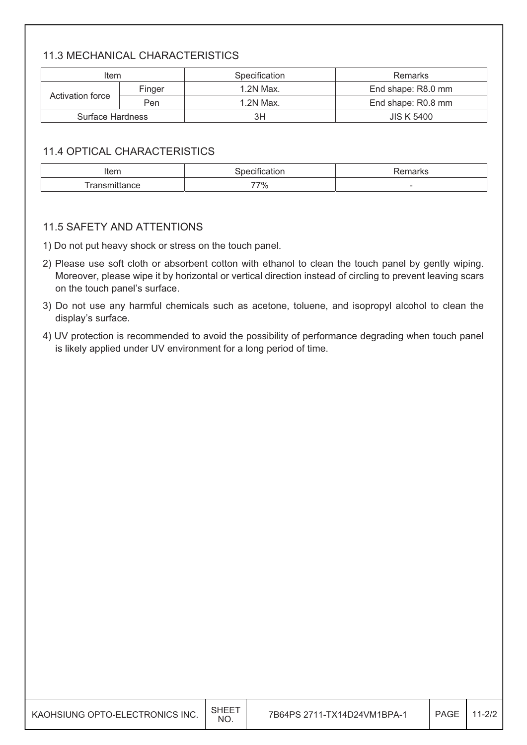#### 11.3 MECHANICAL CHARACTERISTICS

| Item             |        | Specification | <b>Remarks</b>     |
|------------------|--------|---------------|--------------------|
|                  | Finger | 1.2N Max.     | End shape: R8.0 mm |
| Activation force | Pen    | 1.2N Max.     | End shape: R0.8 mm |
| Surface Hardness |        | ЗH            | <b>JIS K 5400</b>  |

#### 11.4 OPTICAL CHARACTERISTICS

| Item           | auor.<br> | $\sim$                   |
|----------------|-----------|--------------------------|
| $-$<br>udilut. | 77%       | $\overline{\phantom{a}}$ |

#### 11.5 SAFETY AND ATTENTIONS

1) Do not put heavy shock or stress on the touch panel.

- 2) Please use soft cloth or absorbent cotton with ethanol to clean the touch panel by gently wiping. Moreover, please wipe it by horizontal or vertical direction instead of circling to prevent leaving scars on the touch panel's surface.
- 3) Do not use any harmful chemicals such as acetone, toluene, and isopropyl alcohol to clean the display's surface.
- 4) UV protection is recommended to avoid the possibility of performance degrading when touch panel is likely applied under UV environment for a long period of time.

| KAOHSIUNG OPTO-ELECTRONICS INC. | SHEET<br><b>NO</b> | 7B64PS 2711-TX14D24VM1BPA-1 | <b>PAGE</b> | $11 - 2/2$ |
|---------------------------------|--------------------|-----------------------------|-------------|------------|
|---------------------------------|--------------------|-----------------------------|-------------|------------|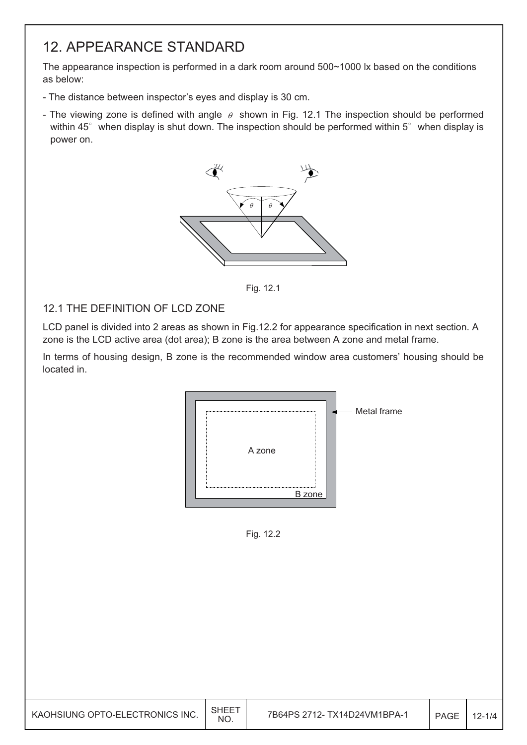### 12. APPEARANCE STANDARD

The appearance inspection is performed in a dark room around 500~1000 lx based on the conditions as below:

- The distance between inspector's eyes and display is 30 cm.
- The viewing zone is defined with angle  $\theta$  shown in Fig. 12.1 The inspection should be performed within 45 $\degree$  when display is shut down. The inspection should be performed within 5 $\degree$  when display is power on.



Fig. 12.1

#### 12.1 THE DEFINITION OF LCD ZONE

LCD panel is divided into 2 areas as shown in Fig.12.2 for appearance specification in next section. A zone is the LCD active area (dot area); B zone is the area between A zone and metal frame.

In terms of housing design, B zone is the recommended window area customers' housing should be located in.



Fig. 12.2

| KAOHSIUNG OPTO-ELECTRONICS INC. | <b>SHEE</b><br>NO. | 7B64PS 2712- TX14D24VM1BPA-1 | PAGE | $12 - 1/4$ |
|---------------------------------|--------------------|------------------------------|------|------------|
|---------------------------------|--------------------|------------------------------|------|------------|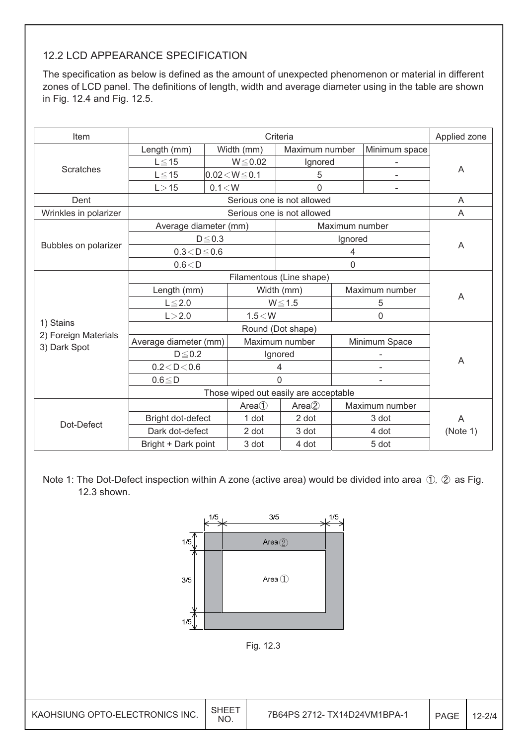#### 12.2 LCD APPEARANCE SPECIFICATION

The specification as below is defined as the amount of unexpected phenomenon or material in different zones of LCD panel. The definitions of length, width and average diameter using in the table are shown in Fig. 12.4 and Fig. 12.5.

| Item                  |                       | Applied zone             |                    |                                       |                |                |          |  |  |  |
|-----------------------|-----------------------|--------------------------|--------------------|---------------------------------------|----------------|----------------|----------|--|--|--|
|                       | Length (mm)           |                          | Width (mm)         | Maximum number                        |                | Minimum space  |          |  |  |  |
|                       | $L \leq 15$           |                          | $W \le 0.02$       | Ignored                               |                |                |          |  |  |  |
| <b>Scratches</b>      | $L \leq 15$           |                          | $0.02 < W \le 0.1$ | 5                                     |                |                | A        |  |  |  |
|                       | L > 15                | 0.1 < W                  |                    | $\mathbf{0}$                          |                |                |          |  |  |  |
| Dent                  |                       |                          |                    | Serious one is not allowed            |                |                | A        |  |  |  |
| Wrinkles in polarizer |                       |                          |                    | Serious one is not allowed            |                |                | A        |  |  |  |
|                       | Average diameter (mm) |                          |                    |                                       | Maximum number |                |          |  |  |  |
|                       |                       | $D \leq 0.3$             |                    |                                       | Ignored        |                |          |  |  |  |
| Bubbles on polarizer  | $0.3 < D \le 0.6$     |                          |                    |                                       | 4              |                | A        |  |  |  |
|                       | 0.6 < D               |                          |                    | $\mathbf 0$                           |                |                |          |  |  |  |
|                       |                       | Filamentous (Line shape) |                    |                                       |                |                |          |  |  |  |
|                       | Length (mm)           | Width (mm)               |                    |                                       | Maximum number |                |          |  |  |  |
|                       | $L \leq 2.0$          |                          |                    | $W \le 1.5$                           |                | 5              | A        |  |  |  |
|                       | L > 2.0               |                          | 1.5 < W            |                                       |                | 0              |          |  |  |  |
| 1) Stains             |                       |                          | Round (Dot shape)  |                                       |                |                |          |  |  |  |
| 2) Foreign Materials  | Average diameter (mm) |                          |                    | Maximum number                        |                | Minimum Space  |          |  |  |  |
| 3) Dark Spot          | $D \leq 0.2$          |                          |                    | Ignored                               |                |                |          |  |  |  |
|                       | 0.2 < D < 0.6         |                          |                    | $\overline{4}$                        |                |                | A        |  |  |  |
|                       | $0.6 \leq D$          |                          |                    | 0                                     |                |                |          |  |  |  |
|                       |                       |                          |                    | Those wiped out easily are acceptable |                |                |          |  |  |  |
|                       |                       |                          | Area <sup>1</sup>  | Area <sup>2</sup>                     |                | Maximum number |          |  |  |  |
|                       | Bright dot-defect     |                          | 1 dot              | 2 dot                                 |                | 3 dot          | A        |  |  |  |
| Dot-Defect            | Dark dot-defect       |                          | 2 dot              | 3 dot                                 |                | 4 dot          | (Note 1) |  |  |  |
|                       | Bright + Dark point   |                          | 3 dot              | 4 dot                                 |                | 5 dot          |          |  |  |  |

Note 1: The Dot-Defect inspection within A zone (active area) would be divided into area  $(1)$ ,  $(2)$  as Fig. 12.3 shown.

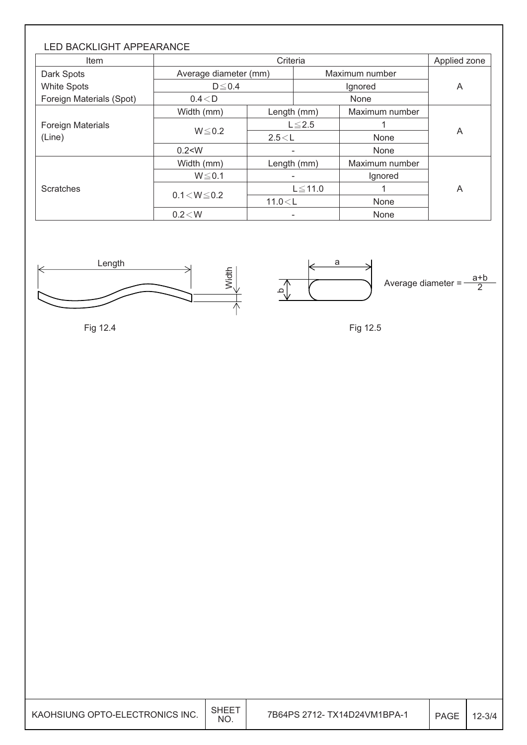| <b>LED BACKLIGHT APPEARANCE</b><br>Item |                       | Criteria     |              |                |   |  |  |  |  |  |  |
|-----------------------------------------|-----------------------|--------------|--------------|----------------|---|--|--|--|--|--|--|
| Dark Spots                              | Average diameter (mm) |              |              | Maximum number |   |  |  |  |  |  |  |
| <b>White Spots</b>                      | $D \leq 0.4$          |              |              | Ignored        |   |  |  |  |  |  |  |
| Foreign Materials (Spot)                | 0.4 < D               |              |              | None           |   |  |  |  |  |  |  |
|                                         | Width (mm)            |              | Length (mm)  | Maximum number |   |  |  |  |  |  |  |
| <b>Foreign Materials</b>                |                       | $L \leq 2.5$ |              |                | A |  |  |  |  |  |  |
| (Line)                                  | $W \le 0.2$           | 2.5 < L      |              | None           |   |  |  |  |  |  |  |
|                                         | 0.2 < W               |              | ٠            | None           |   |  |  |  |  |  |  |
|                                         | Width (mm)            |              | Length (mm)  | Maximum number |   |  |  |  |  |  |  |
|                                         | $W \le 0.1$           |              |              | Ignored        | A |  |  |  |  |  |  |
| <b>Scratches</b>                        |                       |              | $L \le 11.0$ |                |   |  |  |  |  |  |  |
|                                         | $0.1 < W \le 0.2$     | 11.0 < L     |              | None           |   |  |  |  |  |  |  |
|                                         | $0.2\!<\!W$           |              |              | None           |   |  |  |  |  |  |  |



Fig 12.4

a ِم Average diameter  $=$  $\frac{a+b}{2}$ 

Fig 12.5

| KAOHSIUNG OPTO-ELECTRONICS INC. | <b>SHEET</b><br>NO. | 7B64PS 2712-TX14D24VM1BPA-1 | <b>PAGE</b> | $12 - 3/4$ |
|---------------------------------|---------------------|-----------------------------|-------------|------------|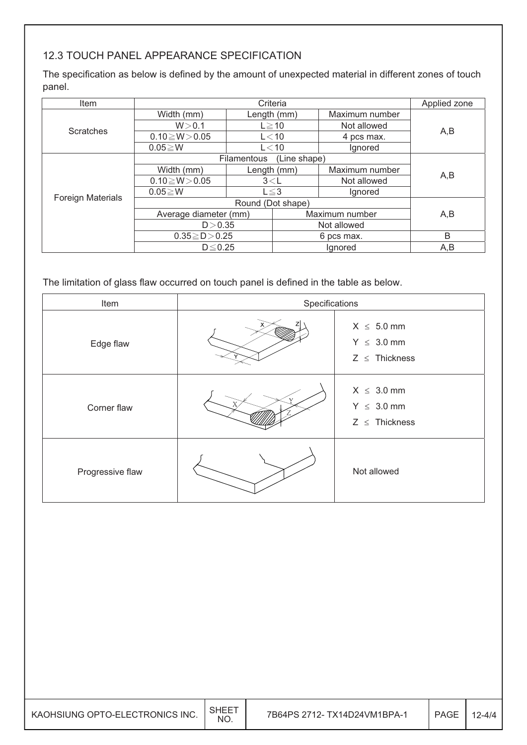#### 12.3 TOUCH PANEL APPEARANCE SPECIFICATION

The specification as below is defined by the amount of unexpected material in different zones of touch panel.

| Item                     | Criteria              |                                    |                |                | Applied zone |  |
|--------------------------|-----------------------|------------------------------------|----------------|----------------|--------------|--|
| <b>Scratches</b>         | Width (mm)            |                                    | Length (mm)    | Maximum number |              |  |
|                          | W > 0.1               |                                    | $L \ge 10$     | Not allowed    | A,B          |  |
|                          | $0.10 \ge W > 0.05$   |                                    | $L<$ 10        | 4 pcs max.     |              |  |
|                          | $0.05 \geq W$         |                                    | $L<$ 10        | lgnored        |              |  |
|                          |                       | <b>Filamentous</b><br>(Line shape) |                |                |              |  |
| <b>Foreign Materials</b> | Width (mm)            |                                    | Length (mm)    | Maximum number | A,B          |  |
|                          | $0.10 \ge W > 0.05$   | 3< L                               |                | Not allowed    |              |  |
|                          | $0.05 \ge W$          | $L \leq 3$                         |                | Ignored        |              |  |
|                          |                       |                                    |                |                |              |  |
|                          | Average diameter (mm) |                                    | Maximum number |                | A,B          |  |
|                          | D > 0.35              |                                    | Not allowed    |                |              |  |
|                          | $0.35 \ge D > 0.25$   |                                    | 6 pcs max.     |                | B            |  |
|                          | $D \leq 0.25$         |                                    | Ignored        |                | A,B          |  |

The limitation of glass flaw occurred on touch panel is defined in the table as below.

| Item             | Specifications |                                                          |  |  |  |
|------------------|----------------|----------------------------------------------------------|--|--|--|
| Edge flaw        |                | $X \leq 5.0$ mm<br>$Y \leq 3.0$ mm<br>$Z \leq$ Thickness |  |  |  |
| Corner flaw      |                | $X \leq 3.0$ mm<br>$Y \leq 3.0$ mm<br>$Z \leq$ Thickness |  |  |  |
| Progressive flaw |                | Not allowed                                              |  |  |  |

| KAOHSIUNG OPTO-ELECTRONICS INC. | <b>NO</b> | 7B64PS 2712- TX14D24VM1BPA-1 | PAGE | $12 - 4/4$ |
|---------------------------------|-----------|------------------------------|------|------------|
|---------------------------------|-----------|------------------------------|------|------------|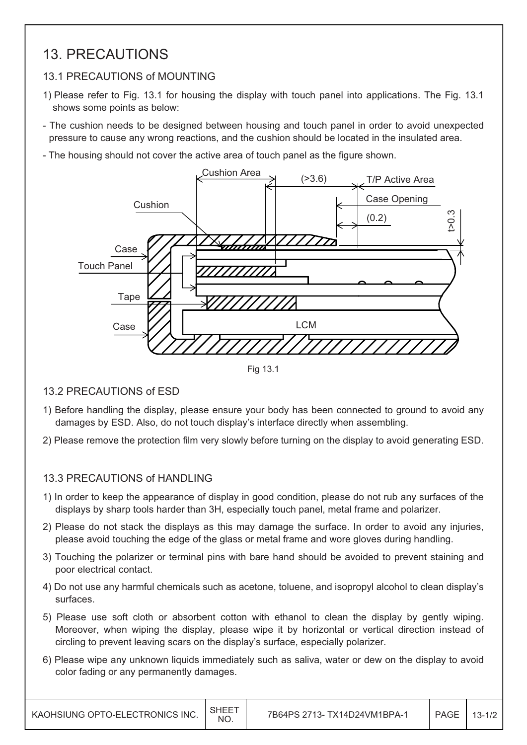### 13. PRECAUTIONS

#### 13.1 PRECAUTIONS of MOUNTING

- 1) Please refer to Fig. 13.1 for housing the display with touch panel into applications. The Fig. 13.1 shows some points as below:
- The cushion needs to be designed between housing and touch panel in order to avoid unexpected pressure to cause any wrong reactions, and the cushion should be located in the insulated area.
- The housing should not cover the active area of touch panel as the figure shown.



Fig 13.1

#### 13.2 PRECAUTIONS of ESD

- 1) Before handling the display, please ensure your body has been connected to ground to avoid any damages by ESD. Also, do not touch display's interface directly when assembling.
- 2) Please remove the protection film very slowly before turning on the display to avoid generating ESD.

#### 13.3 PRECAUTIONS of HANDLING

- 1) In order to keep the appearance of display in good condition, please do not rub any surfaces of the displays by sharp tools harder than 3H, especially touch panel, metal frame and polarizer.
- 2) Please do not stack the displays as this may damage the surface. In order to avoid any injuries, please avoid touching the edge of the glass or metal frame and wore gloves during handling.
- 3) Touching the polarizer or terminal pins with bare hand should be avoided to prevent staining and poor electrical contact.
- 4) Do not use any harmful chemicals such as acetone, toluene, and isopropyl alcohol to clean display's surfaces.
- 5) Please use soft cloth or absorbent cotton with ethanol to clean the display by gently wiping. Moreover, when wiping the display, please wipe it by horizontal or vertical direction instead of circling to prevent leaving scars on the display's surface, especially polarizer.
- 6) Please wipe any unknown liquids immediately such as saliva, water or dew on the display to avoid color fading or any permanently damages.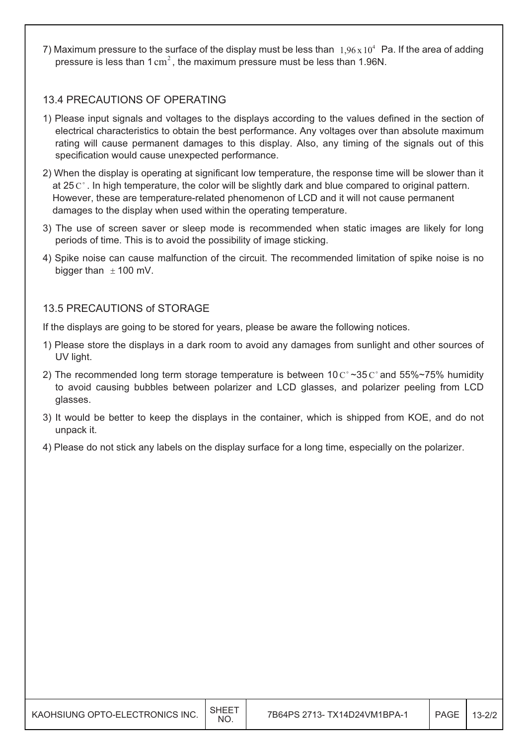7) Maximum pressure to the surface of the display must be less than  $1.96 \times 10^4$  Pa. If the area of adding pressure is less than 1  $\text{cm}^2$ , the maximum pressure must be less than 1.96N.

#### 13.4 PRECAUTIONS OF OPERATING

- 1) Please input signals and voltages to the displays according to the values defined in the section of electrical characteristics to obtain the best performance. Any voltages over than absolute maximum rating will cause permanent damages to this display. Also, any timing of the signals out of this specification would cause unexpected performance.
- 2) When the display is operating at significant low temperature, the response time will be slower than it at 25  $\mathrm{C}^{\circ}$ . In high temperature, the color will be slightly dark and blue compared to original pattern. However, these are temperature-related phenomenon of LCD and it will not cause permanent damages to the display when used within the operating temperature.
- 3) The use of screen saver or sleep mode is recommended when static images are likely for long periods of time. This is to avoid the possibility of image sticking.
- 4) Spike noise can cause malfunction of the circuit. The recommended limitation of spike noise is no bigger than  $\pm$  100 mV.

#### 13.5 PRECAUTIONS of STORAGE

If the displays are going to be stored for years, please be aware the following notices.

- 1) Please store the displays in a dark room to avoid any damages from sunlight and other sources of UV light.
- 2) The recommended long term storage temperature is between  $10 \degree \degree 35 \degree \degree$  and  $55\% \degree 75\%$  humidity to avoid causing bubbles between polarizer and LCD glasses, and polarizer peeling from LCD glasses.
- 3) It would be better to keep the displays in the container, which is shipped from KOE, and do not unpack it.
- 4) Please do not stick any labels on the display surface for a long time, especially on the polarizer.